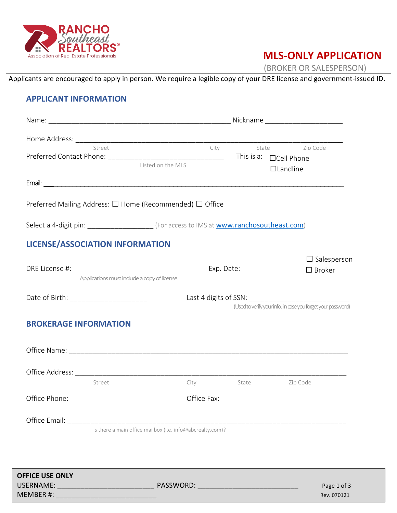

# **MLS-ONLY APPLICATION**

(BROKER OR SALESPERSON)

Applicants are encouraged to apply in person. We require a legible copy of your DRE license and government-issued ID.

# **APPLICANT INFORMATION**

| Street                                                   |                                                           |                                                                                              | City       | State Zip Code  |                    |
|----------------------------------------------------------|-----------------------------------------------------------|----------------------------------------------------------------------------------------------|------------|-----------------|--------------------|
|                                                          | Listed on the MLS                                         |                                                                                              |            | $\Box$ Landline |                    |
|                                                          |                                                           |                                                                                              |            |                 |                    |
|                                                          |                                                           |                                                                                              |            |                 |                    |
| Preferred Mailing Address: □ Home (Recommended) □ Office |                                                           |                                                                                              |            |                 |                    |
|                                                          |                                                           | Select a 4-digit pin: _______________________ (For access to IMS at www.ranchosoutheast.com) |            |                 |                    |
| <b>LICENSE/ASSOCIATION INFORMATION</b>                   |                                                           |                                                                                              |            |                 |                    |
|                                                          |                                                           |                                                                                              |            |                 | $\Box$ Salesperson |
|                                                          | Applications must include a copy of license.              | Exp. Date: ___________________ □ Broker                                                      |            |                 |                    |
|                                                          |                                                           |                                                                                              |            |                 |                    |
| Date of Birth: _______________________                   |                                                           | Last 4 digits of SSN:<br>(Used to verify your info. in case you forget your password)        |            |                 |                    |
| <b>BROKERAGE INFORMATION</b>                             |                                                           |                                                                                              |            |                 |                    |
|                                                          |                                                           |                                                                                              |            |                 |                    |
|                                                          |                                                           |                                                                                              |            |                 |                    |
|                                                          |                                                           |                                                                                              |            |                 |                    |
| Street                                                   |                                                           |                                                                                              | City State | Zip Code        |                    |
|                                                          |                                                           |                                                                                              |            |                 |                    |
| Office Phone: _________________________________          |                                                           |                                                                                              |            |                 |                    |
|                                                          |                                                           |                                                                                              |            |                 |                    |
|                                                          | Is there a main office mailbox (i.e. info@abcrealty.com)? |                                                                                              |            |                 |                    |
|                                                          |                                                           |                                                                                              |            |                 |                    |
|                                                          |                                                           |                                                                                              |            |                 |                    |
| <b>OFFICE USE ONLY</b>                                   |                                                           |                                                                                              |            |                 | Page 1 of 3        |
|                                                          |                                                           |                                                                                              |            |                 | Rev. 070121        |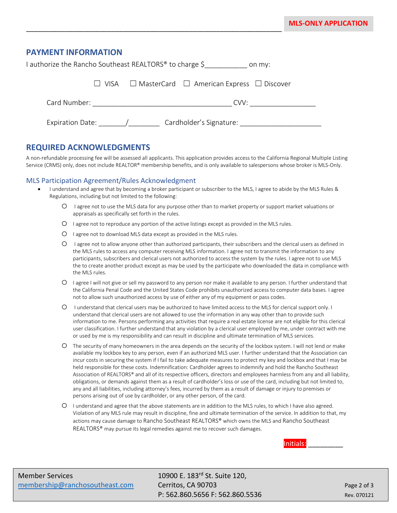## **PAYMENT INFORMATION**

|                         | I authorize the Rancho Southeast REALTORS® to charge \$<br>on my:     |
|-------------------------|-----------------------------------------------------------------------|
|                         | $\Box$ VISA $\Box$ MasterCard $\Box$ American Express $\Box$ Discover |
| Card Number:            | CVV:                                                                  |
| <b>Expiration Date:</b> | Cardholder's Signature:                                               |

\_\_\_\_\_\_\_\_\_\_\_\_\_\_\_\_\_\_\_\_\_\_\_\_\_\_\_\_\_\_\_\_\_\_\_\_\_\_\_\_\_\_\_\_\_\_\_\_\_\_\_\_\_\_\_\_\_\_\_\_\_\_\_\_\_\_

# **REQUIRED ACKNOWLEDGMENTS**

A non-refundable processing fee will be assessed all applicants. This application provides access to the California Regional Multiple Listing Service (CRMS) only, does not include REALTOR® membership benefits, and is only available to salespersons whose broker is MLS-Only.

#### MLS Participation Agreement/Rules Acknowledgment

- I understand and agree that by becoming a broker participant or subscriber to the MLS, I agree to abide by the MLS Rules & Regulations, including but not limited to the following:
	- o I agree not to use the MLS data for any purpose other than to market property or support market valuations or appraisals as specifically set forth in the rules.
	- o I agree not to reproduce any portion of the active listings except as provided in the MLS rules.
	- $O$  I agree not to download MLS data except as provided in the MLS rules.
	- o I agree not to allow anyone other than authorized participants, their subscribers and the clerical users as defined in the MLS rules to access any computer receiving MLS information. I agree not to transmit the information to any participants, subscribers and clerical users not authorized to access the system by the rules. I agree not to use MLS the to create another product except as may be used by the participate who downloaded the data in compliance with the MLS rules.
	- o I agree I will not give or sell my password to any person nor make it available to any person. I further understand that the California Penal Code and the United States Code prohibits unauthorized access to computer data bases. I agree not to allow such unauthorized access by use of either any of my equipment or pass codes.
	- o I understand that clerical users may be authorized to have limited access to the MLS for clerical support only. I understand that clerical users are not allowed to use the information in any way other than to provide such information to me. Persons performing any activities that require a real estate license are not eligible for this clerical user classification. I further understand that any violation by a clerical user employed by me, under contract with me or used by me is my responsibility and can result in discipline and ultimate termination of MLS services.
	- o The security of many homeowners in the area depends on the security of the lockbox system. I will not lend or make available my lockbox key to any person, even if an authorized MLS user. I further understand that the Association can incur costs in securing the system if I fail to take adequate measures to protect my key and lockbox and that I may be held responsible for these costs. Indemnification: Cardholder agrees to indemnify and hold the Rancho Southeast Association of REALTORS® and all of its respective officers, directors and employees harmless from any and all liability, obligations, or demands against them as a result of cardholder's loss or use of the card, including but not limited to, any and all liabilities, including attorney's fees, incurred by them as a result of damage or injury to premises or persons arising out of use by cardholder, or any other person, of the card.
	- o I understand and agree that the above statements are in addition to the MLS rules, to which I have also agreed. Violation of any MLS rule may result in discipline, fine and ultimate termination of the service. In addition to that, my actions may cause damage to Rancho Southeast REALTORS® which owns the MLS and Rancho Southeast REALTORS® may pursue its legal remedies against me to recover such damages.



Member Services 10900 E. 183<sup>rd</sup> St. Suite 120, P: 562.860.5656 F: 562.860.5536